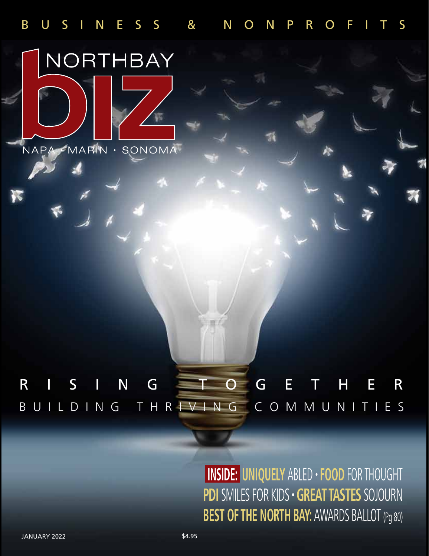

## BUILDING THRIVING COMMUNITIES RISING TOGETHER

 **INSIDE: UNIQUELY** ABLED • **FOOD** FOR THOUGHT **PDI** SMILES FOR KIDS • **GREAT TASTES** SOJOURN **BEST OF THE NORTH BAY: AWARDS BALLOT (Pg 80)**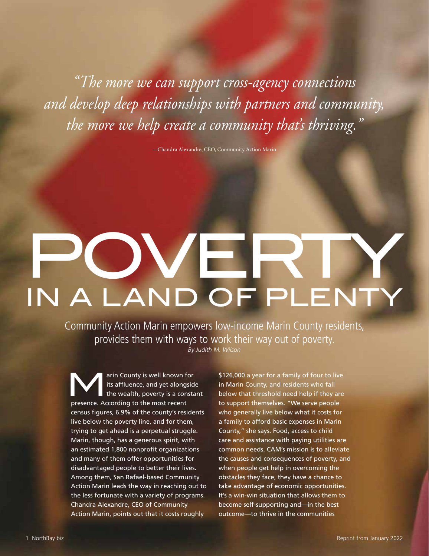*"The more we can support cross-agency connections and develop deep relationships with partners and community, the more we help create a community that's thriving."*

—Chandra Alexandre, CEO, Community Action Marin

# Poverty in a Land of Plenty

Community Action Marin empowers low-income Marin County residents, provides them with ways to work their way out of poverty. *By Judith M. Wilson*

arin County is well known for<br>
the wealth, poverty is a constant<br>
The wealth, poverty is a constant<br>
the wealth and the wealth its affluence, and yet alongside presence. According to the most recent census figures, 6.9% of the county's residents live below the poverty line, and for them, trying to get ahead is a perpetual struggle. Marin, though, has a generous spirit, with an estimated 1,800 nonprofit organizations and many of them offer opportunities for disadvantaged people to better their lives. Among them, San Rafael-based Community Action Marin leads the way in reaching out to the less fortunate with a variety of programs. Chandra Alexandre, CEO of Community Action Marin, points out that it costs roughly

\$126,000 a year for a family of four to live in Marin County, and residents who fall below that threshold need help if they are to support themselves. "We serve people who generally live below what it costs for a family to afford basic expenses in Marin County," she says. Food, access to child care and assistance with paying utilities are common needs. CAM's mission is to alleviate the causes and consequences of poverty, and when people get help in overcoming the obstacles they face, they have a chance to take advantage of economic opportunities. It's a win-win situation that allows them to become self-supporting and—in the best outcome—to thrive in the communities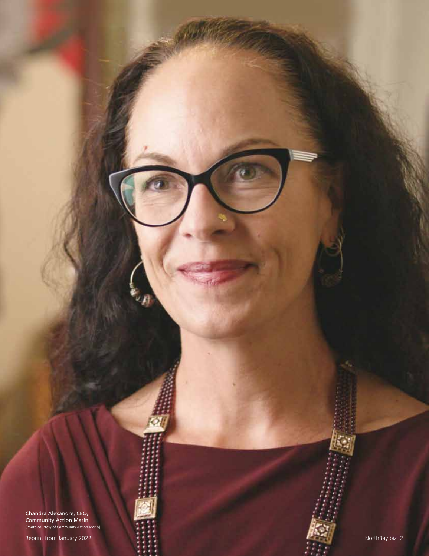Chandra Alexandre, CEO, Community Action Marin [Photo courtesy of Community Action Marin]

Reprint from January 2022 **NorthBay biz 2** NorthBay biz 2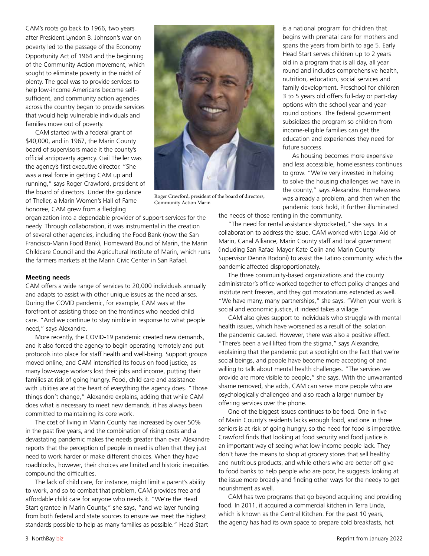CAM's roots go back to 1966, two years after President Lyndon B. Johnson's war on poverty led to the passage of the Economy Opportunity Act of 1964 and the beginning of the Community Action movement, which sought to eliminate poverty in the midst of plenty. The goal was to provide services to help low-income Americans become selfsufficient, and community action agencies across the country began to provide services that would help vulnerable individuals and families move out of poverty.

CAM started with a federal grant of \$40,000, and in 1967, the Marin County board of supervisors made it the county's official antipoverty agency. Gail Theller was the agency's first executive director. "She was a real force in getting CAM up and running," says Roger Crawford, president of the board of directors. Under the guidance of Theller, a Marin Women's Hall of Fame honoree, CAM grew from a fledgling



Roger Crawford, president of the board of directors, Community Action Marin

organization into a dependable provider of support services for the needy. Through collaboration, it was instrumental in the creation of several other agencies, including the Food Bank (now the San Francisco-Marin Food Bank), Homeward Bound of Marin, the Marin Childcare Council and the Agricultural Institute of Marin, which runs the farmers markets at the Marin Civic Center in San Rafael.

#### **Meeting needs**

CAM offers a wide range of services to 20,000 individuals annually and adapts to assist with other unique issues as the need arises. During the COVID pandemic, for example, CAM was at the forefront of assisting those on the frontlines who needed child care. "And we continue to stay nimble in response to what people need," says Alexandre.

More recently, the COVID-19 pandemic created new demands, and it also forced the agency to begin operating remotely and put protocols into place for staff health and well-being. Support groups moved online, and CAM intensified its focus on food justice, as many low-wage workers lost their jobs and income, putting their families at risk of going hungry. Food, child care and assistance with utilities are at the heart of everything the agency does. "Those things don't change," Alexandre explains, adding that while CAM does what is necessary to meet new demands, it has always been committed to maintaining its core work.

The cost of living in Marin County has increased by over 50% in the past five years, and the combination of rising costs and a devastating pandemic makes the needs greater than ever. Alexandre reports that the perception of people in need is often that they just need to work harder or make different choices. When they have roadblocks, however, their choices are limited and historic inequities compound the difficulties.

The lack of child care, for instance, might limit a parent's ability to work, and so to combat that problem, CAM provides free and affordable child care for anyone who needs it. "We're the Head Start grantee in Marin County," she says, "and we layer funding from both federal and state sources to ensure we meet the highest standards possible to help as many families as possible." Head Start

is a national program for children that begins with prenatal care for mothers and spans the years from birth to age 5. Early Head Start serves children up to 2 years old in a program that is all day, all year round and includes comprehensive health, nutrition, education, social services and family development. Preschool for children 3 to 5 years old offers full-day or part-day options with the school year and yearround options. The federal government subsidizes the program so children from income-eligible families can get the education and experiences they need for future success.

As housing becomes more expensive and less accessible, homelessness continues to grow. "We're very invested in helping to solve the housing challenges we have in the county," says Alexandre. Homelessness was already a problem, and then when the pandemic took hold, it further illuminated

the needs of those renting in the community.

"The need for rental assistance skyrocketed," she says. In a collaboration to address the issue, CAM worked with Legal Aid of Marin, Canal Alliance, Marin County staff and local government (including San Rafael Mayor Kate Colin and Marin County Supervisor Dennis Rodoni) to assist the Latino community, which the pandemic affected disproportionately.

The three community-based organizations and the county administrator's office worked together to effect policy changes and institute rent freezes, and they got moratoriums extended as well. "We have many, many partnerships," she says. "When your work is social and economic justice, it indeed takes a village."

CAM also gives support to individuals who struggle with mental health issues, which have worsened as a result of the isolation the pandemic caused. However, there was also a positive effect. "There's been a veil lifted from the stigma," says Alexandre, explaining that the pandemic put a spotlight on the fact that we're social beings, and people have become more accepting of and willing to talk about mental health challenges. "The services we provide are more visible to people," she says. With the unwarranted shame removed, she adds, CAM can serve more people who are psychologically challenged and also reach a larger number by offering services over the phone.

One of the biggest issues continues to be food. One in five of Marin County's residents lacks enough food, and one in three seniors is at risk of going hungry, so the need for food is imperative. Crawford finds that looking at food security and food justice is an important way of seeing what low-income people lack. They don't have the means to shop at grocery stores that sell healthy and nutritious products, and while others who are better off give to food banks to help people who are poor, he suggests looking at the issue more broadly and finding other ways for the needy to get nourishment as well.

CAM has two programs that go beyond acquiring and providing food. In 2011, it acquired a commercial kitchen in Terra Linda, which is known as the Central Kitchen. For the past 10 years, the agency has had its own space to prepare cold breakfasts, hot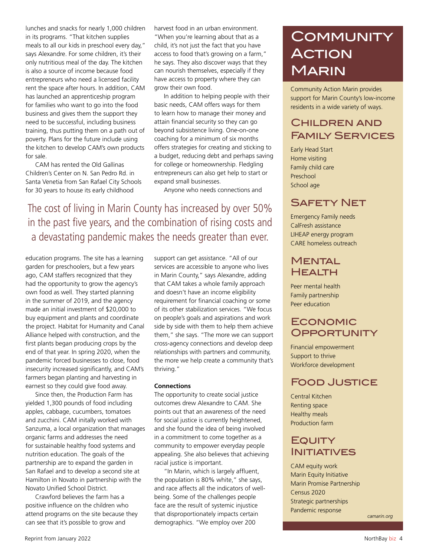lunches and snacks for nearly 1,000 children in its programs. "That kitchen supplies meals to all our kids in preschool every day," says Alexandre. For some children, it's their only nutritious meal of the day. The kitchen is also a source of income because food entrepreneurs who need a licensed facility rent the space after hours. In addition, CAM has launched an apprenticeship program for families who want to go into the food business and gives them the support they need to be successful, including business training, thus putting them on a path out of poverty. Plans for the future include using the kitchen to develop CAM's own products for sale.

CAM has rented the Old Gallinas Children's Center on N. San Pedro Rd. in Santa Venetia from San Rafael City Schools for 30 years to house its early childhood

harvest food in an urban environment. "When you're learning about that as a child, it's not just the fact that you have access to food that's growing on a farm," he says. They also discover ways that they can nourish themselves, especially if they have access to property where they can grow their own food.

In addition to helping people with their basic needs, CAM offers ways for them to learn how to manage their money and attain financial security so they can go beyond subsistence living. One-on-one coaching for a minimum of six months offers strategies for creating and sticking to a budget, reducing debt and perhaps saving for college or homeownership. Fledgling entrepreneurs can also get help to start or expand small businesses.

Anyone who needs connections and

The cost of living in Marin County has increased by over 50% in the past five years, and the combination of rising costs and a devastating pandemic makes the needs greater than ever.

education programs. The site has a learning garden for preschoolers, but a few years ago, CAM staffers recognized that they had the opportunity to grow the agency's own food as well. They started planning in the summer of 2019, and the agency made an initial investment of \$20,000 to buy equipment and plants and coordinate the project. Habitat for Humanity and Canal Alliance helped with construction, and the first plants began producing crops by the end of that year. In spring 2020, when the pandemic forced businesses to close, food insecurity increased significantly, and CAM's farmers began planting and harvesting in earnest so they could give food away.

Since then, the Production Farm has yielded 1,300 pounds of food including apples, cabbage, cucumbers, tomatoes and zucchini. CAM initally worked with Sanzuma, a local organization that manages organic farms and addresses the need for sustainable healthy food systems and nutrition education. The goals of the partnership are to expand the garden in San Rafael and to develop a second site at Hamilton in Novato in partnership with the Novato Unified School District.

Crawford believes the farm has a positive influence on the children who attend programs on the site because they can see that it's possible to grow and

support can get assistance. "All of our services are accessible to anyone who lives in Marin County," says Alexandre, adding that CAM takes a whole family approach and doesn't have an income eligibility requirement for financial coaching or some of its other stabilization services. "We focus on people's goals and aspirations and work side by side with them to help them achieve them," she says. "The more we can support cross-agency connections and develop deep relationships with partners and community, the more we help create a community that's thriving."

#### **Connections**

The opportunity to create social justice outcomes drew Alexandre to CAM. She points out that an awareness of the need for social justice is currently heightened, and she found the idea of being involved in a commitment to come together as a community to empower everyday people appealing. She also believes that achieving racial justice is important.

"In Marin, which is largely affluent, the population is 80% white," she says, and race affects all the indicators of wellbeing. Some of the challenges people face are the result of systemic injustice that disproportionately impacts certain demographics. "We employ over 200

## **COMMUNITY ACTION** Marin

Community Action Marin provides support for Marin County's low-income residents in a wide variety of ways.

## Children and Family Services

Early Head Start Home visiting Family child care Preschool School age

#### Safety Net

Emergency Family needs CalFresh assistance LIHEAP energy program CARE homeless outreach

#### **MENTAL HEALTH**

Peer mental health Family partnership Peer education

#### **ECONOMIC OPPORTUNITY**

Financial empowerment Support to thrive Workforce development

### Food Justice

Central Kitchen Renting space Healthy meals Production farm

#### EQUITY **INITIATIVES**

CAM equity work Marin Equity Initiative Marin Promise Partnership Census 2020 Strategic partnerships Pandemic response

*camarin.org*